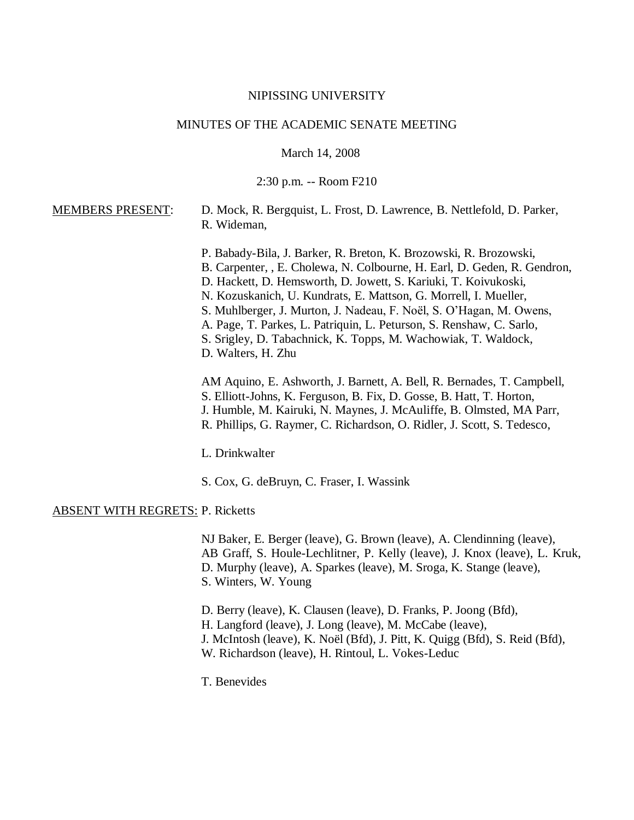#### NIPISSING UNIVERSITY

#### MINUTES OF THE ACADEMIC SENATE MEETING

March 14, 2008

2:30 p.m. -- Room F210

## MEMBERS PRESENT: D. Mock, R. Bergquist, L. Frost, D. Lawrence, B. Nettlefold, D. Parker, R. Wideman,

P. Babady-Bila, J. Barker, R. Breton, K. Brozowski, R. Brozowski, B. Carpenter, , E. Cholewa, N. Colbourne, H. Earl, D. Geden, R. Gendron, D. Hackett, D. Hemsworth, D. Jowett, S. Kariuki, T. Koivukoski, N. Kozuskanich, U. Kundrats, E. Mattson, G. Morrell, I. Mueller, S. Muhlberger, J. Murton, J. Nadeau, F. Noël, S. O'Hagan, M. Owens, A. Page, T. Parkes, L. Patriquin, L. Peturson, S. Renshaw, C. Sarlo, S. Srigley, D. Tabachnick, K. Topps, M. Wachowiak, T. Waldock, D. Walters, H. Zhu

AM Aquino, E. Ashworth, J. Barnett, A. Bell, R. Bernades, T. Campbell, S. Elliott-Johns, K. Ferguson, B. Fix, D. Gosse, B. Hatt, T. Horton, J. Humble, M. Kairuki, N. Maynes, J. McAuliffe, B. Olmsted, MA Parr, R. Phillips, G. Raymer, C. Richardson, O. Ridler, J. Scott, S. Tedesco,

L. Drinkwalter

S. Cox, G. deBruyn, C. Fraser, I. Wassink

#### ABSENT WITH REGRETS: P. Ricketts

NJ Baker, E. Berger (leave), G. Brown (leave), A. Clendinning (leave), AB Graff, S. Houle-Lechlitner, P. Kelly (leave), J. Knox (leave), L. Kruk, D. Murphy (leave), A. Sparkes (leave), M. Sroga, K. Stange (leave), S. Winters, W. Young

D. Berry (leave), K. Clausen (leave), D. Franks, P. Joong (Bfd), H. Langford (leave), J. Long (leave), M. McCabe (leave), J. McIntosh (leave), K. Noël (Bfd), J. Pitt, K. Quigg (Bfd), S. Reid (Bfd), W. Richardson (leave), H. Rintoul, L. Vokes-Leduc

T. Benevides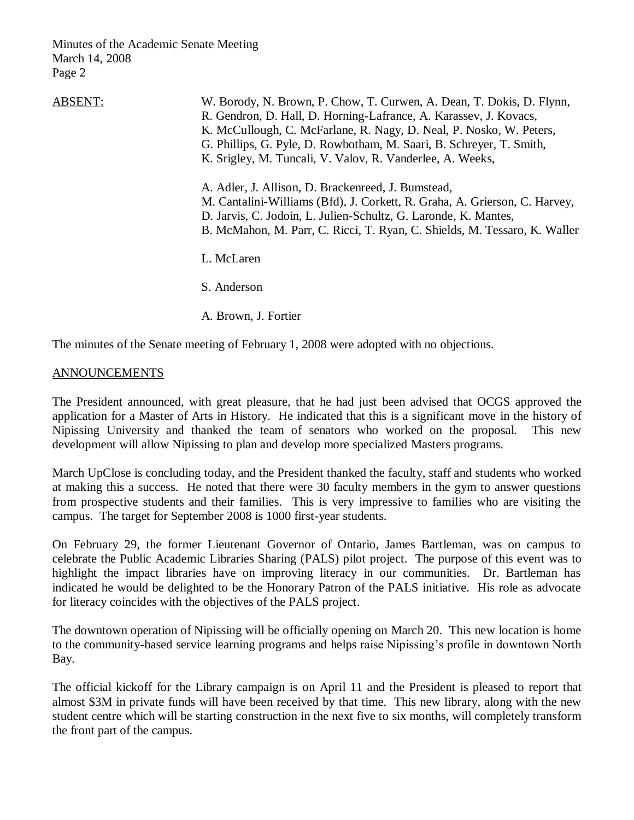| <b>ABSENT:</b> | W. Borody, N. Brown, P. Chow, T. Curwen, A. Dean, T. Dokis, D. Flynn,<br>R. Gendron, D. Hall, D. Horning-Lafrance, A. Karassev, J. Kovacs,<br>K. McCullough, C. McFarlane, R. Nagy, D. Neal, P. Nosko, W. Peters,<br>G. Phillips, G. Pyle, D. Rowbotham, M. Saari, B. Schreyer, T. Smith,<br>K. Srigley, M. Tuncali, V. Valov, R. Vanderlee, A. Weeks, |
|----------------|--------------------------------------------------------------------------------------------------------------------------------------------------------------------------------------------------------------------------------------------------------------------------------------------------------------------------------------------------------|
|                | A. Adler, J. Allison, D. Brackenreed, J. Bumstead,<br>M. Cantalini-Williams (Bfd), J. Corkett, R. Graha, A. Grierson, C. Harvey,<br>D. Jarvis, C. Jodoin, L. Julien-Schultz, G. Laronde, K. Mantes,<br>B. McMahon, M. Parr, C. Ricci, T. Ryan, C. Shields, M. Tessaro, K. Waller                                                                       |
|                | L. McLaren                                                                                                                                                                                                                                                                                                                                             |
|                | S. Anderson                                                                                                                                                                                                                                                                                                                                            |
|                | A. Brown, J. Fortier                                                                                                                                                                                                                                                                                                                                   |

The minutes of the Senate meeting of February 1, 2008 were adopted with no objections.

## ANNOUNCEMENTS

The President announced, with great pleasure, that he had just been advised that OCGS approved the application for a Master of Arts in History. He indicated that this is a significant move in the history of Nipissing University and thanked the team of senators who worked on the proposal. This new development will allow Nipissing to plan and develop more specialized Masters programs.

March UpClose is concluding today, and the President thanked the faculty, staff and students who worked at making this a success. He noted that there were 30 faculty members in the gym to answer questions from prospective students and their families. This is very impressive to families who are visiting the campus. The target for September 2008 is 1000 first-year students.

On February 29, the former Lieutenant Governor of Ontario, James Bartleman, was on campus to celebrate the Public Academic Libraries Sharing (PALS) pilot project. The purpose of this event was to highlight the impact libraries have on improving literacy in our communities. Dr. Bartleman has indicated he would be delighted to be the Honorary Patron of the PALS initiative. His role as advocate for literacy coincides with the objectives of the PALS project.

The downtown operation of Nipissing will be officially opening on March 20. This new location is home to the community-based service learning programs and helps raise Nipissing's profile in downtown North Bay.

The official kickoff for the Library campaign is on April 11 and the President is pleased to report that almost \$3M in private funds will have been received by that time. This new library, along with the new student centre which will be starting construction in the next five to six months, will completely transform the front part of the campus.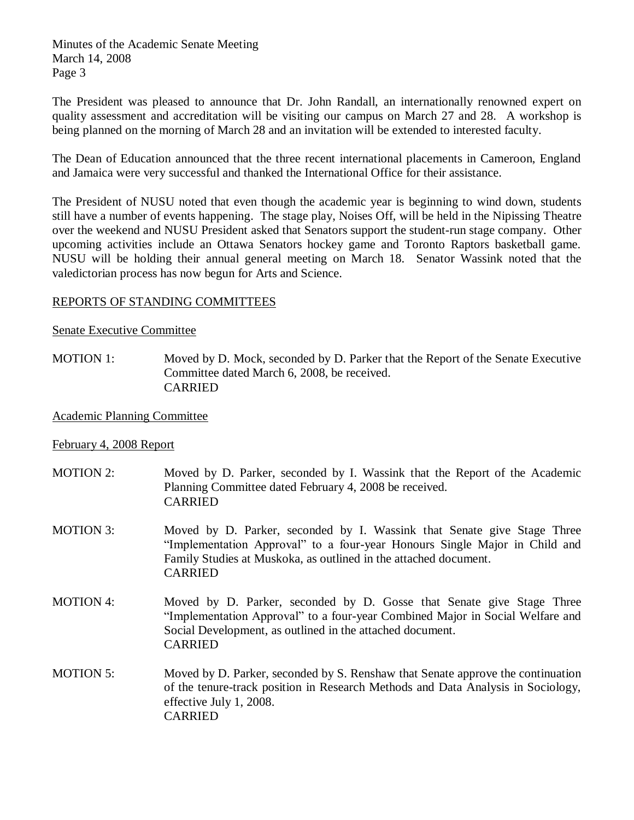The President was pleased to announce that Dr. John Randall, an internationally renowned expert on quality assessment and accreditation will be visiting our campus on March 27 and 28. A workshop is being planned on the morning of March 28 and an invitation will be extended to interested faculty.

The Dean of Education announced that the three recent international placements in Cameroon, England and Jamaica were very successful and thanked the International Office for their assistance.

The President of NUSU noted that even though the academic year is beginning to wind down, students still have a number of events happening. The stage play, Noises Off, will be held in the Nipissing Theatre over the weekend and NUSU President asked that Senators support the student-run stage company. Other upcoming activities include an Ottawa Senators hockey game and Toronto Raptors basketball game. NUSU will be holding their annual general meeting on March 18. Senator Wassink noted that the valedictorian process has now begun for Arts and Science.

## REPORTS OF STANDING COMMITTEES

## Senate Executive Committee

MOTION 1: Moved by D. Mock, seconded by D. Parker that the Report of the Senate Executive Committee dated March 6, 2008, be received. CARRIED

## Academic Planning Committee

## February 4, 2008 Report

| <b>MOTION 2:</b> | Moved by D. Parker, seconded by I. Wassink that the Report of the Academic<br>Planning Committee dated February 4, 2008 be received.<br><b>CARRIED</b>                                                                                      |
|------------------|---------------------------------------------------------------------------------------------------------------------------------------------------------------------------------------------------------------------------------------------|
| <b>MOTION 3:</b> | Moved by D. Parker, seconded by I. Wassink that Senate give Stage Three<br>"Implementation Approval" to a four-year Honours Single Major in Child and<br>Family Studies at Muskoka, as outlined in the attached document.<br><b>CARRIED</b> |
| <b>MOTION 4:</b> | Moved by D. Parker, seconded by D. Gosse that Senate give Stage Three<br>"Implementation Approval" to a four-year Combined Major in Social Welfare and<br>Social Development, as outlined in the attached document.<br><b>CARRIED</b>       |
| <b>MOTION 5:</b> | Moved by D. Parker, seconded by S. Renshaw that Senate approve the continuation<br>of the tenure-track position in Research Methods and Data Analysis in Sociology,<br>effective July 1, 2008.<br><b>CARRIED</b>                            |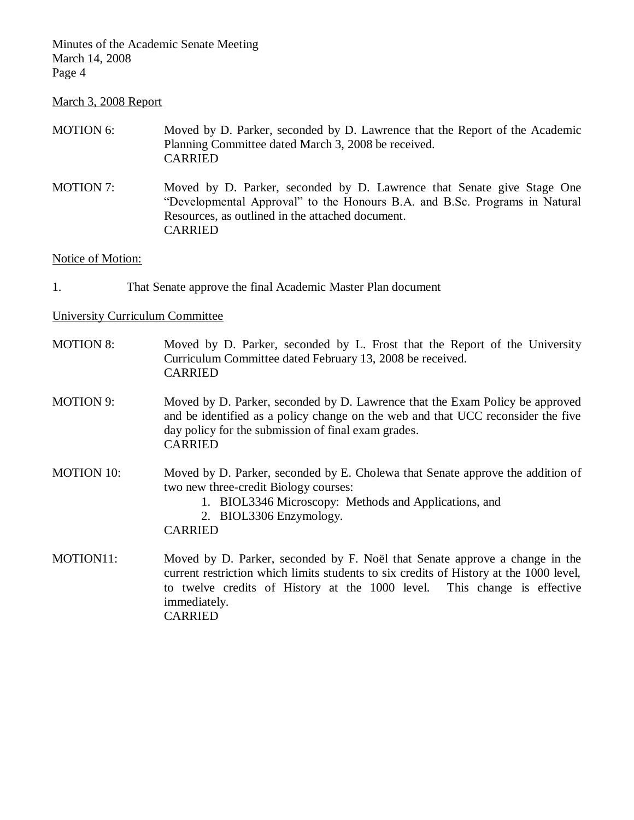# March 3, 2008 Report

| MOTION 6:                              | Moved by D. Parker, seconded by D. Lawrence that the Report of the Academic<br>Planning Committee dated March 3, 2008 be received.<br><b>CARRIED</b>                                                                                                                                |
|----------------------------------------|-------------------------------------------------------------------------------------------------------------------------------------------------------------------------------------------------------------------------------------------------------------------------------------|
| <b>MOTION 7:</b>                       | Moved by D. Parker, seconded by D. Lawrence that Senate give Stage One<br>"Developmental Approval" to the Honours B.A. and B.Sc. Programs in Natural<br>Resources, as outlined in the attached document.<br><b>CARRIED</b>                                                          |
| Notice of Motion:                      |                                                                                                                                                                                                                                                                                     |
| 1.                                     | That Senate approve the final Academic Master Plan document                                                                                                                                                                                                                         |
| <b>University Curriculum Committee</b> |                                                                                                                                                                                                                                                                                     |
| <b>MOTION 8:</b>                       | Moved by D. Parker, seconded by L. Frost that the Report of the University<br>Curriculum Committee dated February 13, 2008 be received.<br><b>CARRIED</b>                                                                                                                           |
| <b>MOTION 9:</b>                       | Moved by D. Parker, seconded by D. Lawrence that the Exam Policy be approved<br>and be identified as a policy change on the web and that UCC reconsider the five<br>day policy for the submission of final exam grades.<br><b>CARRIED</b>                                           |
| <b>MOTION 10:</b>                      | Moved by D. Parker, seconded by E. Cholewa that Senate approve the addition of<br>two new three-credit Biology courses:<br>1. BIOL3346 Microscopy: Methods and Applications, and<br>2. BIOL3306 Enzymology.<br><b>CARRIED</b>                                                       |
| MOTION11:                              | Moved by D. Parker, seconded by F. Noël that Senate approve a change in the<br>current restriction which limits students to six credits of History at the 1000 level,<br>to twelve credits of History at the 1000 level. This change is effective<br>immediately.<br><b>CARRIED</b> |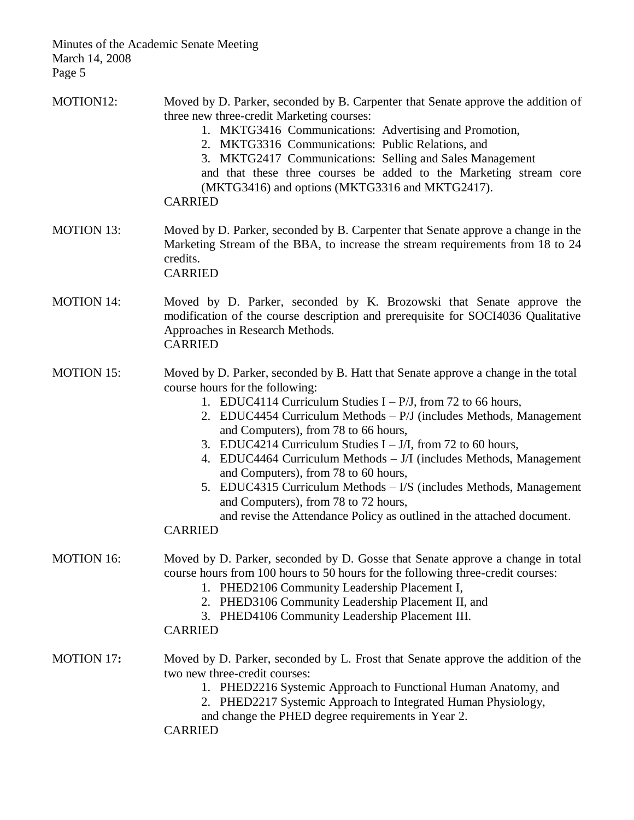| MOTION12:         | Moved by D. Parker, seconded by B. Carpenter that Senate approve the addition of<br>three new three-credit Marketing courses:<br>1. MKTG3416 Communications: Advertising and Promotion,<br>2. MKTG3316 Communications: Public Relations, and<br>3. MKTG2417 Communications: Selling and Sales Management<br>and that these three courses be added to the Marketing stream core<br>(MKTG3416) and options (MKTG3316 and MKTG2417).<br><b>CARRIED</b>                                                                                                                                                                                                                                              |
|-------------------|--------------------------------------------------------------------------------------------------------------------------------------------------------------------------------------------------------------------------------------------------------------------------------------------------------------------------------------------------------------------------------------------------------------------------------------------------------------------------------------------------------------------------------------------------------------------------------------------------------------------------------------------------------------------------------------------------|
| <b>MOTION 13:</b> | Moved by D. Parker, seconded by B. Carpenter that Senate approve a change in the<br>Marketing Stream of the BBA, to increase the stream requirements from 18 to 24<br>credits.<br><b>CARRIED</b>                                                                                                                                                                                                                                                                                                                                                                                                                                                                                                 |
| <b>MOTION 14:</b> | Moved by D. Parker, seconded by K. Brozowski that Senate approve the<br>modification of the course description and prerequisite for SOCI4036 Qualitative<br>Approaches in Research Methods.<br><b>CARRIED</b>                                                                                                                                                                                                                                                                                                                                                                                                                                                                                    |
| <b>MOTION 15:</b> | Moved by D. Parker, seconded by B. Hatt that Senate approve a change in the total<br>course hours for the following:<br>1. EDUC4114 Curriculum Studies $I - P/J$ , from 72 to 66 hours,<br>2. EDUC4454 Curriculum Methods – P/J (includes Methods, Management<br>and Computers), from 78 to 66 hours,<br>3. EDUC4214 Curriculum Studies $I - J/I$ , from 72 to 60 hours,<br>4. EDUC4464 Curriculum Methods – J/I (includes Methods, Management<br>and Computers), from 78 to 60 hours,<br>5. EDUC4315 Curriculum Methods - I/S (includes Methods, Management<br>and Computers), from 78 to 72 hours,<br>and revise the Attendance Policy as outlined in the attached document.<br><b>CARRIED</b> |
| <b>MOTION 16:</b> | Moved by D. Parker, seconded by D. Gosse that Senate approve a change in total<br>course hours from 100 hours to 50 hours for the following three-credit courses:<br>1. PHED2106 Community Leadership Placement I,<br>2. PHED3106 Community Leadership Placement II, and<br>3. PHED4106 Community Leadership Placement III.<br><b>CARRIED</b>                                                                                                                                                                                                                                                                                                                                                    |
| <b>MOTION 17:</b> | Moved by D. Parker, seconded by L. Frost that Senate approve the addition of the<br>two new three-credit courses:<br>1. PHED2216 Systemic Approach to Functional Human Anatomy, and<br>2. PHED2217 Systemic Approach to Integrated Human Physiology,<br>and change the PHED degree requirements in Year 2.<br><b>CARRIED</b>                                                                                                                                                                                                                                                                                                                                                                     |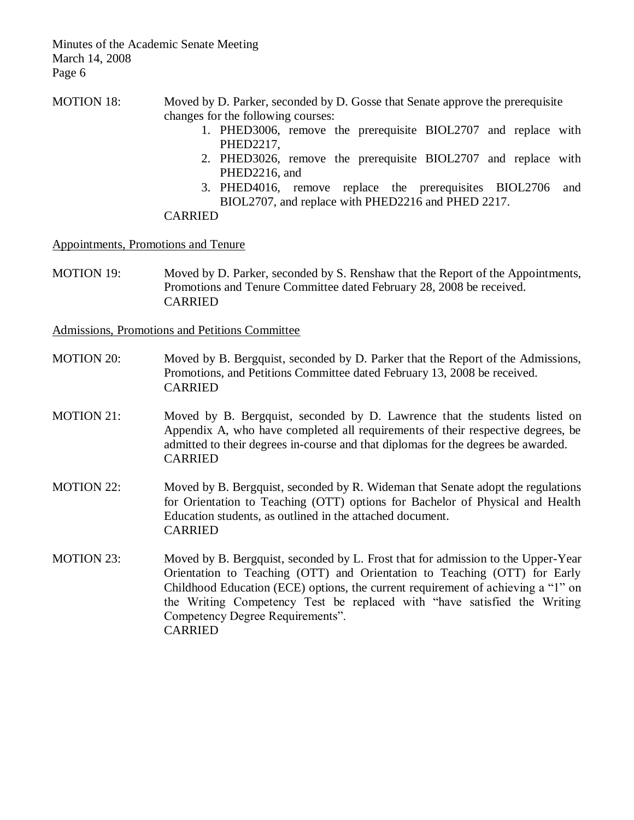MOTION 18: Moved by D. Parker, seconded by D. Gosse that Senate approve the prerequisite changes for the following courses:

- 1. PHED3006, remove the prerequisite BIOL2707 and replace with PHED2217,
- 2. PHED3026, remove the prerequisite BIOL2707 and replace with PHED2216, and
- 3. PHED4016, remove replace the prerequisites BIOL2706 and BIOL2707, and replace with PHED2216 and PHED 2217.

#### CARRIED

Appointments, Promotions and Tenure

MOTION 19: Moved by D. Parker, seconded by S. Renshaw that the Report of the Appointments, Promotions and Tenure Committee dated February 28, 2008 be received. CARRIED

Admissions, Promotions and Petitions Committee

- MOTION 20: Moved by B. Bergquist, seconded by D. Parker that the Report of the Admissions, Promotions, and Petitions Committee dated February 13, 2008 be received. CARRIED
- MOTION 21: Moved by B. Bergquist, seconded by D. Lawrence that the students listed on Appendix A, who have completed all requirements of their respective degrees, be admitted to their degrees in-course and that diplomas for the degrees be awarded. CARRIED
- MOTION 22: Moved by B. Bergquist, seconded by R. Wideman that Senate adopt the regulations for Orientation to Teaching (OTT) options for Bachelor of Physical and Health Education students, as outlined in the attached document. CARRIED
- MOTION 23: Moved by B. Bergquist, seconded by L. Frost that for admission to the Upper-Year Orientation to Teaching (OTT) and Orientation to Teaching (OTT) for Early Childhood Education (ECE) options, the current requirement of achieving a "1" on the Writing Competency Test be replaced with "have satisfied the Writing Competency Degree Requirements". CARRIED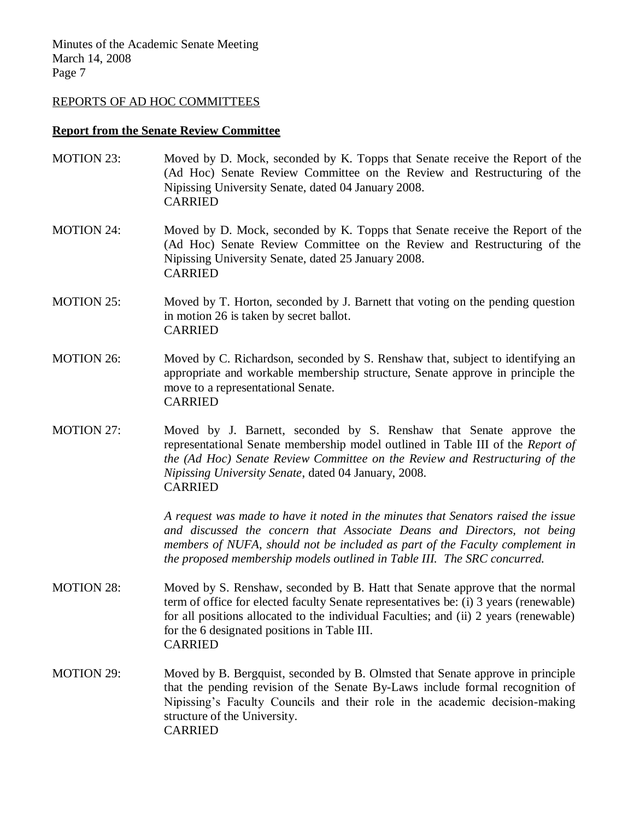#### REPORTS OF AD HOC COMMITTEES

#### **Report from the Senate Review Committee**

- MOTION 23: Moved by D. Mock, seconded by K. Topps that Senate receive the Report of the (Ad Hoc) Senate Review Committee on the Review and Restructuring of the Nipissing University Senate, dated 04 January 2008. CARRIED
- MOTION 24: Moved by D. Mock, seconded by K. Topps that Senate receive the Report of the (Ad Hoc) Senate Review Committee on the Review and Restructuring of the Nipissing University Senate, dated 25 January 2008. CARRIED
- MOTION 25: Moved by T. Horton, seconded by J. Barnett that voting on the pending question in motion 26 is taken by secret ballot. CARRIED
- MOTION 26: Moved by C. Richardson, seconded by S. Renshaw that, subject to identifying an appropriate and workable membership structure, Senate approve in principle the move to a representational Senate. CARRIED
- MOTION 27: Moved by J. Barnett, seconded by S. Renshaw that Senate approve the representational Senate membership model outlined in Table III of the *Report of the (Ad Hoc) Senate Review Committee on the Review and Restructuring of the Nipissing University Senate*, dated 04 January, 2008. CARRIED

*A request was made to have it noted in the minutes that Senators raised the issue and discussed the concern that Associate Deans and Directors, not being members of NUFA, should not be included as part of the Faculty complement in the proposed membership models outlined in Table III. The SRC concurred.*

- MOTION 28: Moved by S. Renshaw, seconded by B. Hatt that Senate approve that the normal term of office for elected faculty Senate representatives be: (i) 3 years (renewable) for all positions allocated to the individual Faculties; and (ii) 2 years (renewable) for the 6 designated positions in Table III. CARRIED
- MOTION 29: Moved by B. Bergquist, seconded by B. Olmsted that Senate approve in principle that the pending revision of the Senate By-Laws include formal recognition of Nipissing's Faculty Councils and their role in the academic decision-making structure of the University. CARRIED